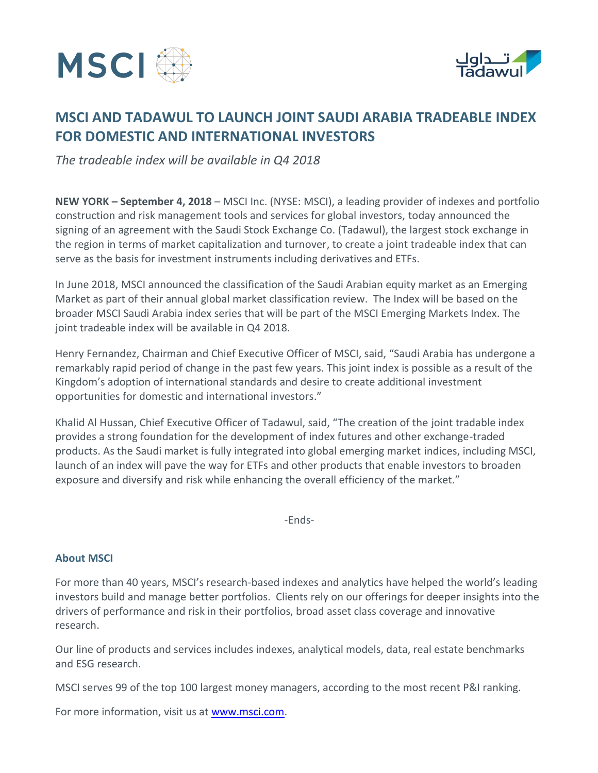



# **MSCI AND TADAWUL TO LAUNCH JOINT SAUDI ARABIA TRADEABLE INDEX FOR DOMESTIC AND INTERNATIONAL INVESTORS**

*The tradeable index will be available in Q4 2018* 

**NEW YORK – September 4, 2018** – MSCI Inc. (NYSE: MSCI), a leading provider of indexes and portfolio construction and risk management tools and services for global investors, today announced the signing of an agreement with the Saudi Stock Exchange Co. (Tadawul), the largest stock exchange in the region in terms of market capitalization and turnover, to create a joint tradeable index that can serve as the basis for investment instruments including derivatives and ETFs.

In June 2018, MSCI announced the classification of the Saudi Arabian equity market as an Emerging Market as part of their annual global market classification review. The Index will be based on the broader MSCI Saudi Arabia index series that will be part of the MSCI Emerging Markets Index. The joint tradeable index will be available in Q4 2018.

Henry Fernandez, Chairman and Chief Executive Officer of MSCI, said, "Saudi Arabia has undergone a remarkably rapid period of change in the past few years. This joint index is possible as a result of the Kingdom's adoption of international standards and desire to create additional investment opportunities for domestic and international investors."

Khalid Al Hussan, Chief Executive Officer of Tadawul, said, "The creation of the joint tradable index provides a strong foundation for the development of index futures and other exchange-traded products. As the Saudi market is fully integrated into global emerging market indices, including MSCI, launch of an index will pave the way for ETFs and other products that enable investors to broaden exposure and diversify and risk while enhancing the overall efficiency of the market."

-Ends-

### **About MSCI**

For more than 40 years, MSCI's research-based indexes and analytics have helped the world's leading investors build and manage better portfolios. Clients rely on our offerings for deeper insights into the drivers of performance and risk in their portfolios, broad asset class coverage and innovative research.

Our line of products and services includes indexes, analytical models, data, real estate benchmarks and ESG research.

MSCI serves 99 of the top 100 largest money managers, according to the most recent P&I ranking.

For more information, visit us at **www.msci.com.**